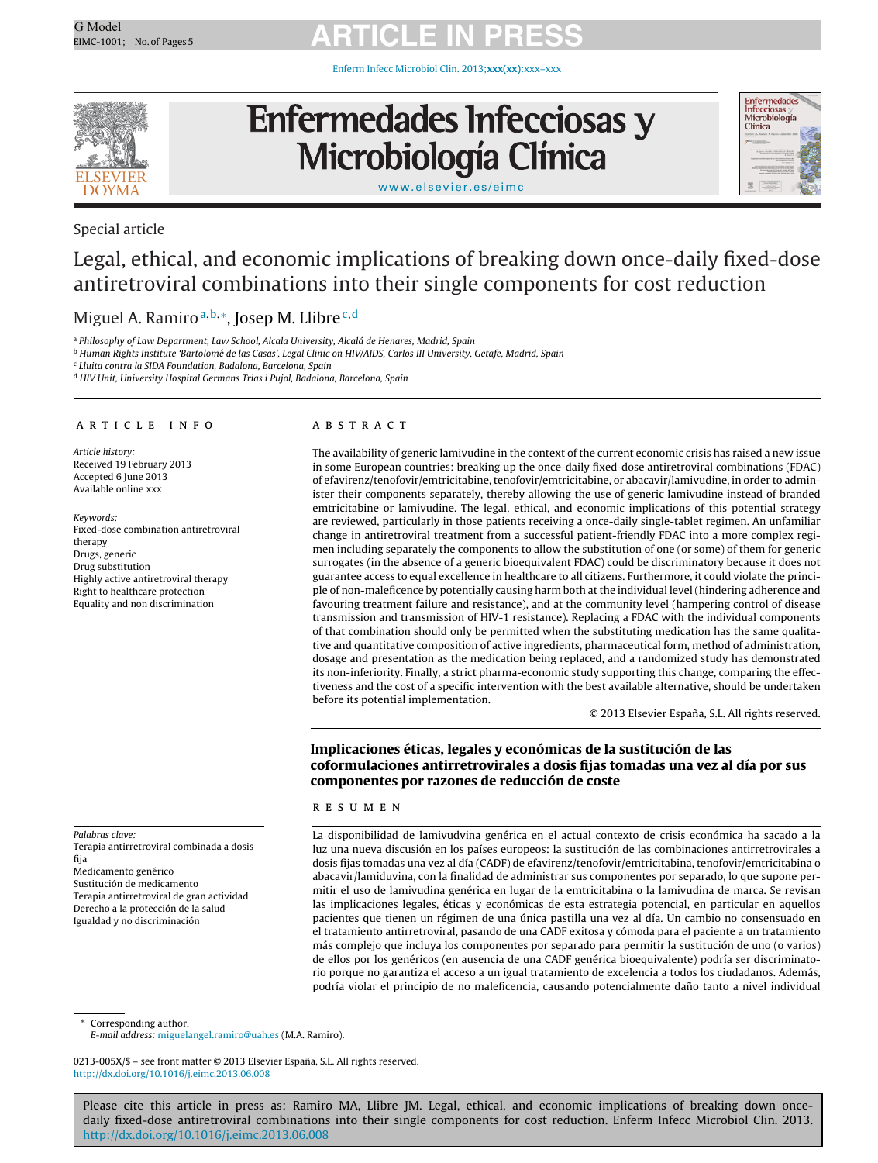Enferm Infecc [Microbiol](dx.doi.org/10.1016/j.eimc.2013.06.008) Clin. 2013;**xxx(xx)**:xxx–xxx



# Enfermedades Infecciosas y Microbiología Clínica

<www.elsevier.es/eimc>

### Special article

Legal, ethical, and economic implications of breaking down once-daily fixed-dose antiretroviral combinations into their single components for cost reduction

### Miguel A. Ramiro<sup>a,b,\*</sup>, Josep M. Llibre<sup>c,d</sup>

a Philosophy of Law Department, Law School, Alcala University, Alcalá de Henares, Madrid, Spain

<sup>b</sup> Human Rights Institute 'Bartolomé de las Casas', Legal Clinic on HIV/AIDS, Carlos III University, Getafe, Madrid, Spain

<sup>c</sup> Lluita contra la SIDA Foundation, Badalona, Barcelona, Spain

<sup>d</sup> HIV Unit, University Hospital Germans Trias i Pujol, Badalona, Barcelona, Spain

#### a r t i c l e i n f o

Article history: Received 19 February 2013 Accepted 6 June 2013 Available online xxx

Keywords: Fixed-dose combination antiretroviral therapy Drugs, generic Drug substitution Highly active antiretroviral therapy Right to healthcare protection Equality and non discrimination

Palabras clave:

Terapia antirretroviral combinada a dosis fija Medicamento genérico Sustitución de medicamento

Terapia antirretroviral de gran actividad Derecho a la protección de la salud Igualdad y no discriminación

#### A B S T R A C T

The availability of generic lamivudine in the context of the current economic crisis has raised a new issue in some European countries: breaking up the once-daily fixed-dose antiretroviral combinations (FDAC) of efavirenz/tenofovir/emtricitabine, tenofovir/emtricitabine, or abacavir/lamivudine, in order to administer their components separately, thereby allowing the use of generic lamivudine instead of branded emtricitabine or lamivudine. The legal, ethical, and economic implications of this potential strategy are reviewed, particularly in those patients receiving a once-daily single-tablet regimen. An unfamiliar change in antiretroviral treatment from a successful patient-friendly FDAC into a more complex regimen including separately the components to allow the substitution of one (or some) of them for generic surrogates (in the absence of a generic bioequivalent FDAC) could be discriminatory because it does not guarantee access to equal excellence in healthcare to all citizens. Furthermore, it could violate the principle of non-maleficence by potentially causing harm both at the individual level (hindering adherence and favouring treatment failure and resistance), and at the community level (hampering control of disease transmission and transmission of HIV-1 resistance). Replacing a FDAC with the individual components of that combination should only be permitted when the substituting medication has the same qualitative and quantitative composition of active ingredients, pharmaceutical form, method of administration, dosage and presentation as the medication being replaced, and a randomized study has demonstrated its non-inferiority. Finally, a strict pharma-economic study supporting this change, comparing the effectiveness and the cost of a specific intervention with the best available alternative, should be undertaken before its potential implementation.

© 2013 Elsevier España, S.L. All rights reserved.

Enfermedades Infeccios:

Microbiología Clinica

### **Implicaciones éticas, legales y económicas de la sustitución de las coformulaciones antirretrovirales a dosis fijas tomadas una vez al día por sus componentes por razones de reducción de coste**

#### r e s u m e n

La disponibilidad de lamivudvina genérica en el actual contexto de crisis económica ha sacado a la luz una nueva discusión en los países europeos: la sustitución de las combinaciones antirretrovirales a dosis fijas tomadas una vez al día (CADF) de efavirenz/tenofovir/emtricitabina, tenofovir/emtricitabina o abacavir/lamiduvina, con la finalidad de administrar sus componentes por separado, lo que supone permitir el uso de lamivudina genérica en lugar de la emtricitabina o la lamivudina de marca. Se revisan las implicaciones legales, éticas y económicas de esta estrategia potencial, en particular en aquellos pacientes que tienen un régimen de una única pastilla una vez al día. Un cambio no consensuado en el tratamiento antirretroviral, pasando de una CADF exitosa y cómoda para el paciente a un tratamiento más complejo que incluya los componentes por separado para permitir la sustitución de uno (o varios) de ellos por los genéricos (en ausencia de una CADF genérica bioequivalente) podría ser discriminatorio porque no garantiza el acceso a un igual tratamiento de excelencia a todos los ciudadanos. Además, podría violar el principio de no maleficencia, causando potencialmente daño tanto a nivel individual

Corresponding author.

E-mail address: [miguelangel.ramiro@uah.es](mailto:miguelangel.ramiro@uah.es) (M.A. Ramiro).

0213-005X/\$ - see front matter © 2013 Elsevier España, S.L. All rights reserved. [http://dx.doi.org/10.1016/j.eimc.2013.06.008](dx.doi.org/10.1016/j.eimc.2013.06.008)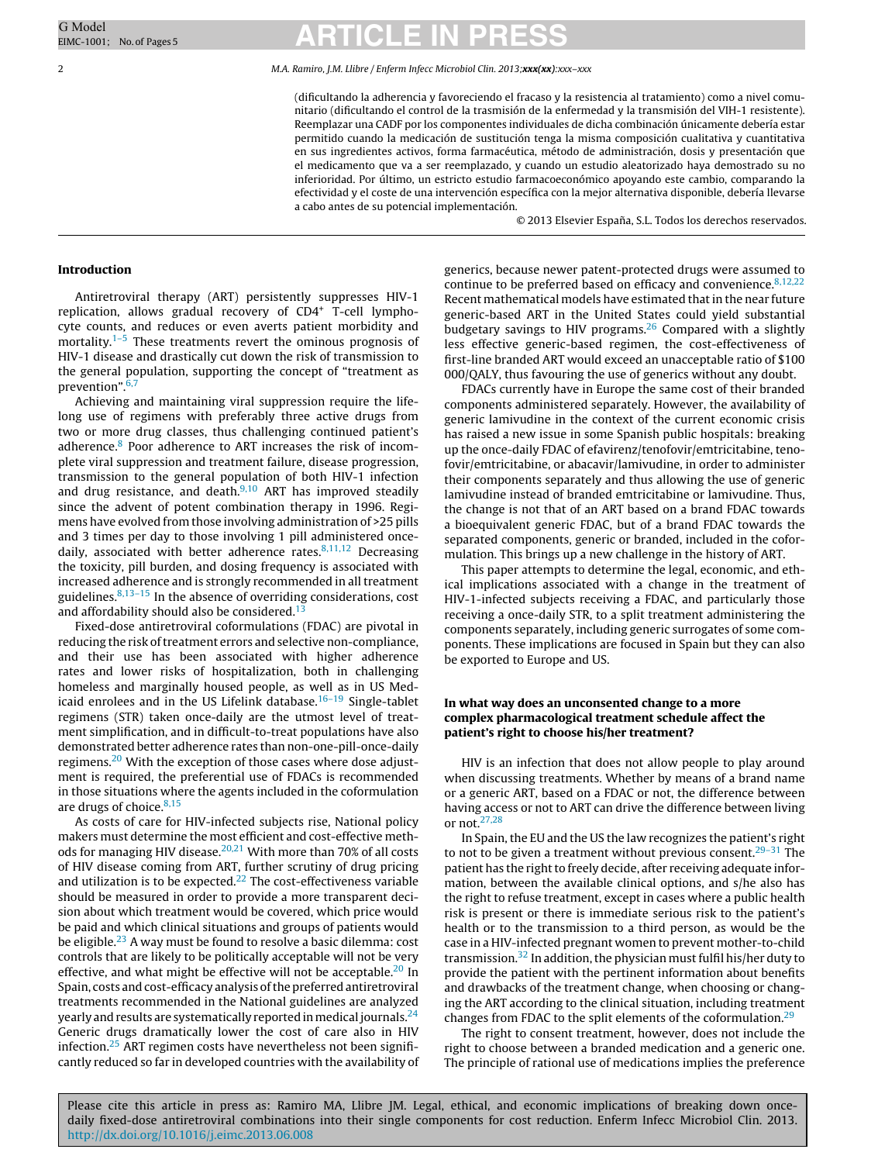2 M.A. Ramiro, J.M. Llibre / Enferm Infecc Microbiol Clin. 2013;**xxx(xx)**:xxx–xxx

(dificultando la adherencia y favoreciendo el fracaso y la resistencia al tratamiento) como a nivel comunitario (dificultando el control de la trasmisión de la enfermedad y la transmisión del VIH-1 resistente). Reemplazar una CADF por los componentes individuales de dicha combinación únicamente debería estar permitido cuando la medicación de sustitución tenga la misma composición cualitativa y cuantitativa en sus ingredientes activos, forma farmacéutica, método de administración, dosis y presentación que el medicamento que va a ser reemplazado, y cuando un estudio aleatorizado haya demostrado su no inferioridad. Por último, un estricto estudio farmacoeconómico apoyando este cambio, comparando la efectividad y el coste de una intervención específica con la mejor alternativa disponible, debería llevarse a cabo antes de su potencial implementación.

© 2013 Elsevier España, S.L. Todos los derechos reservados.

#### **Introduction**

Antiretroviral therapy (ART) persistently suppresses HIV-1 replication, allows gradual recovery of CD4<sup>+</sup> T-cell lymphocyte counts, and reduces or even averts patient morbidity and mortality. $1-5$  These treatments revert the ominous prognosis of HIV-1 disease and drastically cut down the risk of transmission to the general population, supporting the concept of "treatment as prevention".<sup>6,7</sup>

Achieving and maintaining viral suppression require the lifelong use of regimens with preferably three active drugs from two or more drug classes, thus challenging continued patient's adherence.<sup>[8](#page-3-0)</sup> Poor adherence to ART increases the risk of incomplete viral suppression and treatment failure, disease progression, transmission to the general population of both HIV-1 infection and drug resistance, and death. $9,10$  ART has improved steadily since the advent of potent combination therapy in 1996. Regimens have evolved from those involving administration of >25 pills and 3 times per day to those involving 1 pill administered oncedaily, associated with better adherence rates. $8,11,12$  Decreasing the toxicity, pill burden, and dosing frequency is associated with increased adherence and is strongly recommended in all treatment guidelines. $8,13-15$  In the absence of overriding considerations, cost and affordability should also be considered.<sup>13</sup>

Fixed-dose antiretroviral coformulations (FDAC) are pivotal in reducing the risk of treatment errors and selective non-compliance, and their use has been associated with higher adherence rates and lower risks of hospitalization, both in challenging homeless and marginally housed people, as well as in US Medicaid enrolees and in the US Lifelink database.<sup>16-19</sup> Single-tablet regimens (STR) taken once-daily are the utmost level of treatment simplification, and in difficult-to-treat populations have also demonstrated better adherence rates than non-one-pill-once-daily regimens.<sup>20</sup> With the exception of those cases where dose adjustment is required, the preferential use of FDACs is recommended in those situations where the agents included in the coformulation are drugs of choice.<sup>[8,15](#page-3-0)</sup>

As costs of care for HIV-infected subjects rise, National policy makers must determine the most efficient and cost-effective meth-ods for managing HIV disease.<sup>[20,21](#page-4-0)</sup> With more than 70% of all costs of HIV disease coming from ART, further scrutiny of drug pricing and utilization is to be expected.<sup>22</sup> The cost-effectiveness variable should be measured in order to provide a more transparent decision about which treatment would be covered, which price would be paid and which clinical situations and groups of patients would be eligible.<sup>[23](#page-4-0)</sup> A way must be found to resolve a basic dilemma: cost controls that are likely to be politically acceptable will not be very effective, and what might be effective will not be acceptable.<sup>[20](#page-4-0)</sup> In Spain, costs and cost-efficacy analysis of the preferred antiretroviral treatments recommended in the National guidelines are analyzed yearly and results are systematically reported in medical journals. $^{24}$  $^{24}$  $^{24}$ Generic drugs dramatically lower the cost of care also in HIV infection.<sup>[25](#page-4-0)</sup> ART regimen costs have nevertheless not been significantly reduced so far in developed countries with the availability of generics, because newer patent-protected drugs were assumed to continue to be preferred based on efficacy and convenience.<sup>[8,12,22](#page-3-0)</sup> Recent mathematical models have estimated that in the near future generic-based ART in the United States could yield substantial budgetary savings to HIV programs.<sup>26</sup> Compared with a slightly less effective generic-based regimen, the cost-effectiveness of first-line branded ART would exceed an unacceptable ratio of \$100 000/QALY, thus favouring the use of generics without any doubt.

FDACs currently have in Europe the same cost of their branded components administered separately. However, the availability of generic lamivudine in the context of the current economic crisis has raised a new issue in some Spanish public hospitals: breaking up the once-daily FDAC of efavirenz/tenofovir/emtricitabine, tenofovir/emtricitabine, or abacavir/lamivudine, in order to administer their components separately and thus allowing the use of generic lamivudine instead of branded emtricitabine or lamivudine. Thus, the change is not that of an ART based on a brand FDAC towards a bioequivalent generic FDAC, but of a brand FDAC towards the separated components, generic or branded, included in the coformulation. This brings up a new challenge in the history of ART.

This paper attempts to determine the legal, economic, and ethical implications associated with a change in the treatment of HIV-1-infected subjects receiving a FDAC, and particularly those receiving a once-daily STR, to a split treatment administering the components separately, including generic surrogates of some components. These implications are focused in Spain but they can also be exported to Europe and US.

#### **In what way does an unconsented change to a more complex pharmacological treatment schedule affect the patient's right to choose his/her treatment?**

HIV is an infection that does not allow people to play around when discussing treatments. Whether by means of a brand name or a generic ART, based on a FDAC or not, the difference between having access or not to ART can drive the difference between living or not[.27,28](#page-4-0)

In Spain, the EU and the US the law recognizes the patient's right to not to be given a treatment without previous consent.<sup>29-31</sup> The patient has the right to freely decide, after receiving adequate information, between the available clinical options, and s/he also has the right to refuse treatment, except in cases where a public health risk is present or there is immediate serious risk to the patient's health or to the transmission to a third person, as would be the case in a HIV-infected pregnant women to prevent mother-to-child transmission.<sup>[32](#page-4-0)</sup> In addition, the physician must fulfil his/her duty to provide the patient with the pertinent information about benefits and drawbacks of the treatment change, when choosing or changing the ART according to the clinical situation, including treatment changes from FDAC to the split elements of the coformulation.<sup>29</sup>

The right to consent treatment, however, does not include the right to choose between a branded medication and a generic one. The principle of rational use of medications implies the preference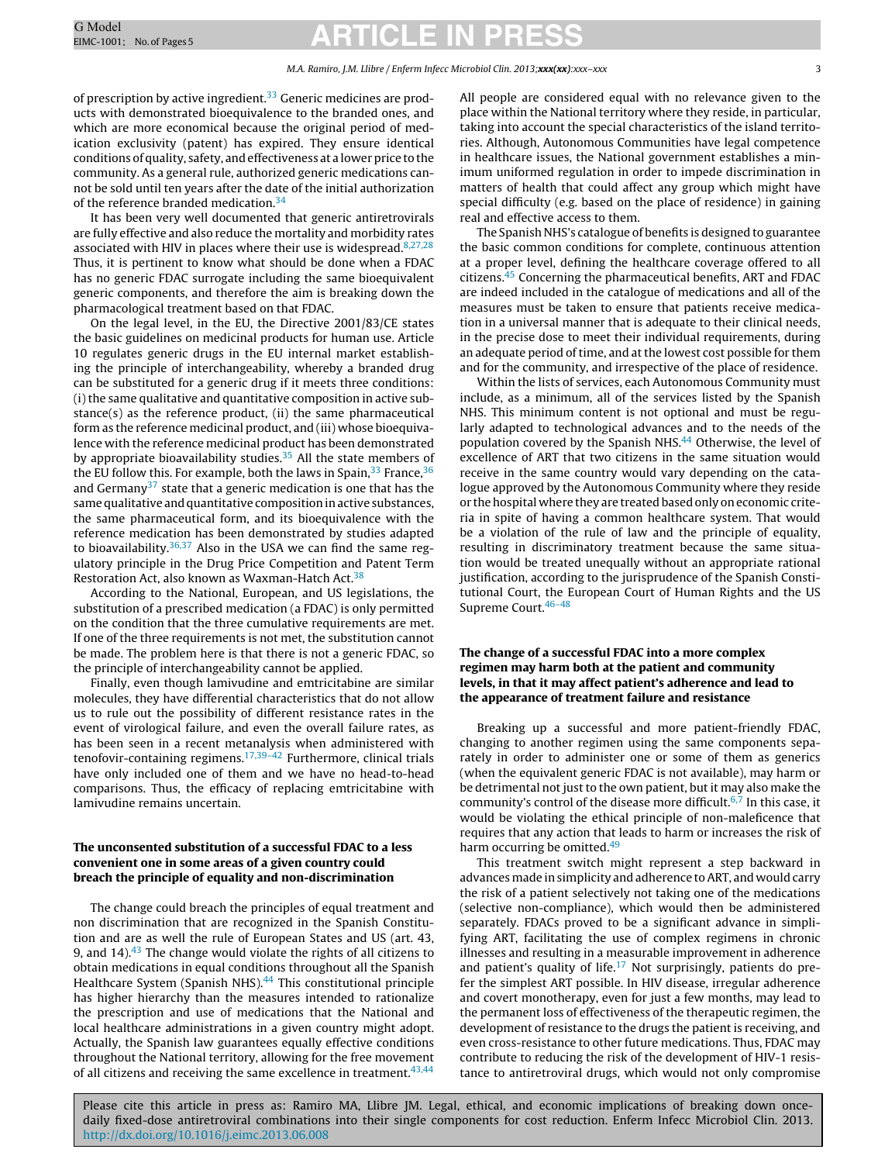#### M.A. Ramiro, J.M. Llibre / Enferm Infecc Microbiol Clin. 2013;**xxx(xx)**:xxx–xxx 3

of prescription by active ingredient.<sup>[33](#page-4-0)</sup> Generic medicines are products with demonstrated bioequivalence to the branded ones, and which are more economical because the original period of medication exclusivity (patent) has expired. They ensure identical conditions of quality, safety, and effectiveness at a lower price to the community. As a general rule, authorized generic medications cannot be sold until ten years after the date of the initial authorization of the reference branded medication.<sup>[34](#page-4-0)</sup>

It has been very well documented that generic antiretrovirals are fully effective and also reduce the mortality and morbidity rates associated with HIV in places where their use is widespread. $8,27,28$ Thus, it is pertinent to know what should be done when a FDAC has no generic FDAC surrogate including the same bioequivalent generic components, and therefore the aim is breaking down the pharmacological treatment based on that FDAC.

On the legal level, in the EU, the Directive 2001/83/CE states the basic guidelines on medicinal products for human use. Article 10 regulates generic drugs in the EU internal market establishing the principle of interchangeability, whereby a branded drug can be substituted for a generic drug if it meets three conditions: (i) the same qualitative and quantitative composition in active substance(s) as the reference product, (ii) the same pharmaceutical form as the reference medicinal product, and (iii) whose bioequivalence with the reference medicinal product has been demonstrated by appropriate bioavailability studies. $35$  All the state members of the EU follow this. For example, both the laws in Spain,  $33$  France,  $36$ and Germany<sup>37</sup> state that a generic medication is one that has the same qualitative and quantitative composition in active substances, the same pharmaceutical form, and its bioequivalence with the reference medication has been demonstrated by studies adapted to bioavailability. $36,37$  Also in the USA we can find the same regulatory principle in the Drug Price Competition and Patent Term Restoration Act, also known as Waxman-Hatch Act.<sup>38</sup>

According to the National, European, and US legislations, the substitution of a prescribed medication (a FDAC) is only permitted on the condition that the three cumulative requirements are met. If one of the three requirements is not met, the substitution cannot be made. The problem here is that there is not a generic FDAC, so the principle of interchangeability cannot be applied.

Finally, even though lamivudine and emtricitabine are similar molecules, they have differential characteristics that do not allow us to rule out the possibility of different resistance rates in the event of virological failure, and even the overall failure rates, as has been seen in a recent metanalysis when administered with tenofovir-containing regimens.<sup>17,39-42</sup> Furthermore, clinical trials have only included one of them and we have no head-to-head comparisons. Thus, the efficacy of replacing emtricitabine with lamivudine remains uncertain.

#### **The unconsented substitution of a successful FDAC to a less convenient one in some areas of a given country could breach the principle of equality and non-discrimination**

The change could breach the principles of equal treatment and non discrimination that are recognized in the Spanish Constitution and are as well the rule of European States and US (art. 43, 9, and  $14$ ).<sup>43</sup> The change would violate the rights of all citizens to obtain medications in equal conditions throughout all the Spanish Healthcare System (Spanish NHS).<sup>44</sup> This constitutional principle has higher hierarchy than the measures intended to rationalize the prescription and use of medications that the National and local healthcare administrations in a given country might adopt. Actually, the Spanish law guarantees equally effective conditions throughout the National territory, allowing for the free movement of all citizens and receiving the same excellence in treatment.<sup>[43,44](#page-4-0)</sup>

All people are considered equal with no relevance given to the place within the National territory where they reside, in particular, taking into account the special characteristics of the island territories. Although, Autonomous Communities have legal competence in healthcare issues, the National government establishes a minimum uniformed regulation in order to impede discrimination in matters of health that could affect any group which might have special difficulty (e.g. based on the place of residence) in gaining real and effective access to them.

The Spanish NHS's catalogue of benefits is designed to guarantee the basic common conditions for complete, continuous attention at a proper level, defining the healthcare coverage offered to all citizens[.45](#page-4-0) Concerning the pharmaceutical benefits, ART and FDAC are indeed included in the catalogue of medications and all of the measures must be taken to ensure that patients receive medication in a universal manner that is adequate to their clinical needs, in the precise dose to meet their individual requirements, during an adequate period of time, and at the lowest cost possible for them and for the community, and irrespective of the place of residence.

Within the lists of services, each Autonomous Community must include, as a minimum, all of the services listed by the Spanish NHS. This minimum content is not optional and must be regularly adapted to technological advances and to the needs of the population covered by the Spanish NHS.<sup>[44](#page-4-0)</sup> Otherwise, the level of excellence of ART that two citizens in the same situation would receive in the same country would vary depending on the catalogue approved by the Autonomous Community where they reside or the hospital where they are treated based only on economic criteria in spite of having a common healthcare system. That would be a violation of the rule of law and the principle of equality, resulting in discriminatory treatment because the same situation would be treated unequally without an appropriate rational justification, according to the jurisprudence of the Spanish Constitutional Court, the European Court of Human Rights and the US Supreme Court[.46–48](#page-4-0)

#### **The change of a successful FDAC into a more complex regimen may harm both at the patient and community levels, in that it may affect patient's adherence and lead to the appearance of treatment failure and resistance**

Breaking up a successful and more patient-friendly FDAC, changing to another regimen using the same components separately in order to administer one or some of them as generics (when the equivalent generic FDAC is not available), may harm or be detrimental not just to the own patient, but it may also make the community's control of the disease more difficult.<sup>[6,7](#page-3-0)</sup> In this case, it would be violating the ethical principle of non-maleficence that requires that any action that leads to harm or increases the risk of harm occurring be omitted.<sup>[49](#page-4-0)</sup>

This treatment switch might represent a step backward in advances made in simplicity and adherence toART, and would carry the risk of a patient selectively not taking one of the medications (selective non-compliance), which would then be administered separately. FDACs proved to be a significant advance in simplifying ART, facilitating the use of complex regimens in chronic illnesses and resulting in a measurable improvement in adherence and patient's quality of life. $17$  Not surprisingly, patients do prefer the simplest ART possible. In HIV disease, irregular adherence and covert monotherapy, even for just a few months, may lead to the permanent loss of effectiveness of the therapeutic regimen, the development of resistance to the drugs the patient is receiving, and even cross-resistance to other future medications. Thus, FDAC may contribute to reducing the risk of the development of HIV-1 resistance to antiretroviral drugs, which would not only compromise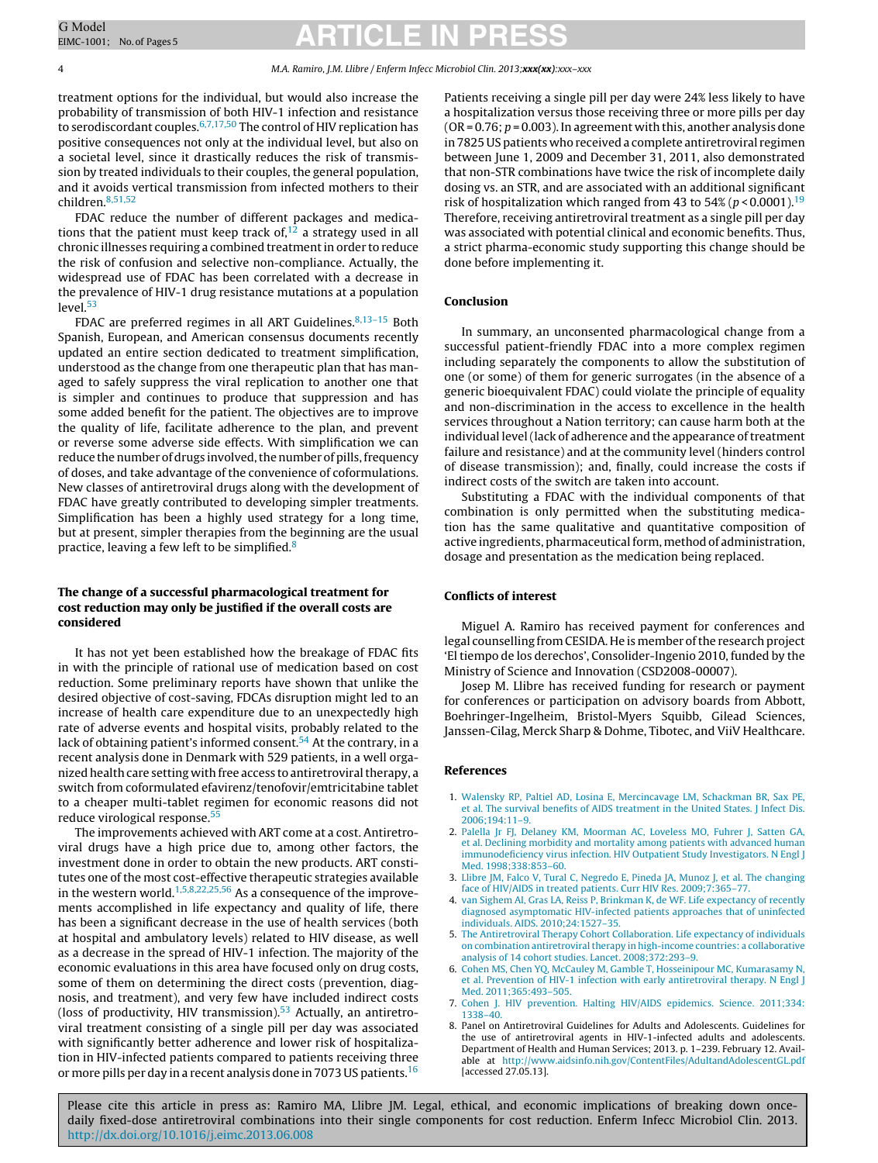treatment options for the individual, but would also increase the probability of transmission of both HIV-1 infection and resistance to serodiscordant couples.  $6,7,17,50$  The control of HIV replication has positive consequences not only at the individual level, but also on a societal level, since it drastically reduces the risk of transmission by treated individuals to their couples, the general population, and it avoids vertical transmission from infected mothers to their children.8,51,52

FDAC reduce the number of different packages and medications that the patient must keep track of, $12$  a strategy used in all chronic illnesses requiring a combined treatment in order to reduce the risk of confusion and selective non-compliance. Actually, the widespread use of FDAC has been correlated with a decrease in the prevalence of HIV-1 drug resistance mutations at a population level.<sup>53</sup>

FDAC are preferred regimes in all ART Guidelines. $8,13-15$  Both Spanish, European, and American consensus documents recently updated an entire section dedicated to treatment simplification, understood as the change from one therapeutic plan that has managed to safely suppress the viral replication to another one that is simpler and continues to produce that suppression and has some added benefit for the patient. The objectives are to improve the quality of life, facilitate adherence to the plan, and prevent or reverse some adverse side effects. With simplification we can reduce the number of drugs involved, the number of pills, frequency of doses, and take advantage of the convenience of coformulations. New classes of antiretroviral drugs along with the development of FDAC have greatly contributed to developing simpler treatments. Simplification has been a highly used strategy for a long time, but at present, simpler therapies from the beginning are the usual practice, leaving a few left to be simplified.8

#### **The change of a successful pharmacological treatment for cost reduction may only be justified if the overall costs are considered**

It has not yet been established how the breakage of FDAC fits in with the principle of rational use of medication based on cost reduction. Some preliminary reports have shown that unlike the desired objective of cost-saving, FDCAs disruption might led to an increase of health care expenditure due to an unexpectedly high rate of adverse events and hospital visits, probably related to the lack of obtaining patient's informed consent.<sup>[54](#page-4-0)</sup> At the contrary, in a recent analysis done in Denmark with 529 patients, in a well organized health care setting with free access to antiretroviral therapy, a switch from coformulated efavirenz/tenofovir/emtricitabine tablet to a cheaper multi-tablet regimen for economic reasons did not reduce virological response.<sup>55</sup>

The improvements achieved with ART come at a cost. Antiretroviral drugs have a high price due to, among other factors, the investment done in order to obtain the new products. ART constitutes one of the most cost-effective therapeutic strategies available in the western world.<sup>1,5,8,22,25,56</sup> As a consequence of the improvements accomplished in life expectancy and quality of life, there has been a significant decrease in the use of health services (both at hospital and ambulatory levels) related to HIV disease, as well as a decrease in the spread of HIV-1 infection. The majority of the economic evaluations in this area have focused only on drug costs, some of them on determining the direct costs (prevention, diagnosis, and treatment), and very few have included indirect costs (loss of productivity, HIV transmission).<sup>[53](#page-4-0)</sup> Actually, an antiretroviral treatment consisting of a single pill per day was associated with significantly better adherence and lower risk of hospitalization in HIV-infected patients compared to patients receiving three or more pills per day in a recent analysis done in 7073 US patients.[16](#page-4-0)

Patients receiving a single pill per day were 24% less likely to have a hospitalization versus those receiving three or more pills per day  $(OR = 0.76; p = 0.003)$ . In agreement with this, another analysis done in 7825 US patients who received a complete antiretroviral regimen between June 1, 2009 and December 31, 2011, also demonstrated that non-STR combinations have twice the risk of incomplete daily dosing vs. an STR, and are associated with an additional significant risk of hospitalization which ranged from 43 to 54% ( $p < 0.0001$ ).<sup>19</sup> Therefore, receiving antiretroviral treatment as a single pill per day was associated with potential clinical and economic benefits. Thus, a strict pharma-economic study supporting this change should be done before implementing it.

#### **Conclusion**

In summary, an unconsented pharmacological change from a successful patient-friendly FDAC into a more complex regimen including separately the components to allow the substitution of one (or some) of them for generic surrogates (in the absence of a generic bioequivalent FDAC) could violate the principle of equality and non-discrimination in the access to excellence in the health services throughout a Nation territory; can cause harm both at the individual level (lack of adherence and the appearance of treatment failure and resistance) and at the community level (hinders control of disease transmission); and, finally, could increase the costs if indirect costs of the switch are taken into account.

Substituting a FDAC with the individual components of that combination is only permitted when the substituting medication has the same qualitative and quantitative composition of active ingredients, pharmaceutical form, method of administration, dosage and presentation as the medication being replaced.

#### **Conflicts of interest**

Miguel A. Ramiro has received payment for conferences and legal counselling from CESIDA. He is member ofthe research project 'El tiempo de los derechos', Consolider-Ingenio 2010, funded by the Ministry of Science and Innovation (CSD2008-00007).

Josep M. Llibre has received funding for research or payment for conferences or participation on advisory boards from Abbott, Boehringer-Ingelheim, Bristol-Myers Squibb, Gilead Sciences, Janssen-Cilag, Merck Sharp & Dohme, Tibotec, and ViiV Healthcare.

#### **References**

- 1. [Walensky](http://refhub.elsevier.com/S0213-005X(13)00241-3/sbref0005) [RP,](http://refhub.elsevier.com/S0213-005X(13)00241-3/sbref0005) [Paltiel](http://refhub.elsevier.com/S0213-005X(13)00241-3/sbref0005) [AD,](http://refhub.elsevier.com/S0213-005X(13)00241-3/sbref0005) [Losina](http://refhub.elsevier.com/S0213-005X(13)00241-3/sbref0005) [E,](http://refhub.elsevier.com/S0213-005X(13)00241-3/sbref0005) [Mercincavage](http://refhub.elsevier.com/S0213-005X(13)00241-3/sbref0005) [LM,](http://refhub.elsevier.com/S0213-005X(13)00241-3/sbref0005) [Schackman](http://refhub.elsevier.com/S0213-005X(13)00241-3/sbref0005) [BR,](http://refhub.elsevier.com/S0213-005X(13)00241-3/sbref0005) [Sax](http://refhub.elsevier.com/S0213-005X(13)00241-3/sbref0005) [PE,](http://refhub.elsevier.com/S0213-005X(13)00241-3/sbref0005) [et](http://refhub.elsevier.com/S0213-005X(13)00241-3/sbref0005) [al.](http://refhub.elsevier.com/S0213-005X(13)00241-3/sbref0005) [The](http://refhub.elsevier.com/S0213-005X(13)00241-3/sbref0005) [survival](http://refhub.elsevier.com/S0213-005X(13)00241-3/sbref0005) [benefits](http://refhub.elsevier.com/S0213-005X(13)00241-3/sbref0005) [of](http://refhub.elsevier.com/S0213-005X(13)00241-3/sbref0005) [AIDS](http://refhub.elsevier.com/S0213-005X(13)00241-3/sbref0005) [treatment](http://refhub.elsevier.com/S0213-005X(13)00241-3/sbref0005) [in](http://refhub.elsevier.com/S0213-005X(13)00241-3/sbref0005) [the](http://refhub.elsevier.com/S0213-005X(13)00241-3/sbref0005) [United](http://refhub.elsevier.com/S0213-005X(13)00241-3/sbref0005) [States.](http://refhub.elsevier.com/S0213-005X(13)00241-3/sbref0005) [J](http://refhub.elsevier.com/S0213-005X(13)00241-3/sbref0005) [Infect](http://refhub.elsevier.com/S0213-005X(13)00241-3/sbref0005) [Dis.](http://refhub.elsevier.com/S0213-005X(13)00241-3/sbref0005) [2006;194:11](http://refhub.elsevier.com/S0213-005X(13)00241-3/sbref0005)–[9.](http://refhub.elsevier.com/S0213-005X(13)00241-3/sbref0005)
- 2. [Palella](http://refhub.elsevier.com/S0213-005X(13)00241-3/sbref0010) [Jr](http://refhub.elsevier.com/S0213-005X(13)00241-3/sbref0010) [FJ,](http://refhub.elsevier.com/S0213-005X(13)00241-3/sbref0010) [Delaney](http://refhub.elsevier.com/S0213-005X(13)00241-3/sbref0010) [KM,](http://refhub.elsevier.com/S0213-005X(13)00241-3/sbref0010) [Moorman](http://refhub.elsevier.com/S0213-005X(13)00241-3/sbref0010) [AC,](http://refhub.elsevier.com/S0213-005X(13)00241-3/sbref0010) [Loveless](http://refhub.elsevier.com/S0213-005X(13)00241-3/sbref0010) [MO,](http://refhub.elsevier.com/S0213-005X(13)00241-3/sbref0010) [Fuhrer](http://refhub.elsevier.com/S0213-005X(13)00241-3/sbref0010) [J,](http://refhub.elsevier.com/S0213-005X(13)00241-3/sbref0010) [Satten](http://refhub.elsevier.com/S0213-005X(13)00241-3/sbref0010) [GA,](http://refhub.elsevier.com/S0213-005X(13)00241-3/sbref0010) [et](http://refhub.elsevier.com/S0213-005X(13)00241-3/sbref0010) [al.](http://refhub.elsevier.com/S0213-005X(13)00241-3/sbref0010) [Declining](http://refhub.elsevier.com/S0213-005X(13)00241-3/sbref0010) [morbidity](http://refhub.elsevier.com/S0213-005X(13)00241-3/sbref0010) [and](http://refhub.elsevier.com/S0213-005X(13)00241-3/sbref0010) [mortality](http://refhub.elsevier.com/S0213-005X(13)00241-3/sbref0010) [among](http://refhub.elsevier.com/S0213-005X(13)00241-3/sbref0010) [patients](http://refhub.elsevier.com/S0213-005X(13)00241-3/sbref0010) [with](http://refhub.elsevier.com/S0213-005X(13)00241-3/sbref0010) [advanced](http://refhub.elsevier.com/S0213-005X(13)00241-3/sbref0010) [human](http://refhub.elsevier.com/S0213-005X(13)00241-3/sbref0010) [immunodeficiency](http://refhub.elsevier.com/S0213-005X(13)00241-3/sbref0010) [virus](http://refhub.elsevier.com/S0213-005X(13)00241-3/sbref0010) [infection.](http://refhub.elsevier.com/S0213-005X(13)00241-3/sbref0010) [HIV](http://refhub.elsevier.com/S0213-005X(13)00241-3/sbref0010) [Outpatient](http://refhub.elsevier.com/S0213-005X(13)00241-3/sbref0010) [Study](http://refhub.elsevier.com/S0213-005X(13)00241-3/sbref0010) [Investigators.](http://refhub.elsevier.com/S0213-005X(13)00241-3/sbref0010) [N](http://refhub.elsevier.com/S0213-005X(13)00241-3/sbref0010) [Engl](http://refhub.elsevier.com/S0213-005X(13)00241-3/sbref0010) [J](http://refhub.elsevier.com/S0213-005X(13)00241-3/sbref0010) [Med.](http://refhub.elsevier.com/S0213-005X(13)00241-3/sbref0010) [1998;338:853–60.](http://refhub.elsevier.com/S0213-005X(13)00241-3/sbref0010)
- 3. [Llibre](http://refhub.elsevier.com/S0213-005X(13)00241-3/sbref0015) [JM,](http://refhub.elsevier.com/S0213-005X(13)00241-3/sbref0015) [Falco](http://refhub.elsevier.com/S0213-005X(13)00241-3/sbref0015) [V,](http://refhub.elsevier.com/S0213-005X(13)00241-3/sbref0015) [Tural](http://refhub.elsevier.com/S0213-005X(13)00241-3/sbref0015) [C,](http://refhub.elsevier.com/S0213-005X(13)00241-3/sbref0015) [Negredo](http://refhub.elsevier.com/S0213-005X(13)00241-3/sbref0015) [E,](http://refhub.elsevier.com/S0213-005X(13)00241-3/sbref0015) [Pineda](http://refhub.elsevier.com/S0213-005X(13)00241-3/sbref0015) [JA,](http://refhub.elsevier.com/S0213-005X(13)00241-3/sbref0015) [Munoz](http://refhub.elsevier.com/S0213-005X(13)00241-3/sbref0015) [J,](http://refhub.elsevier.com/S0213-005X(13)00241-3/sbref0015) [et](http://refhub.elsevier.com/S0213-005X(13)00241-3/sbref0015) [al.](http://refhub.elsevier.com/S0213-005X(13)00241-3/sbref0015) [The](http://refhub.elsevier.com/S0213-005X(13)00241-3/sbref0015) [changing](http://refhub.elsevier.com/S0213-005X(13)00241-3/sbref0015) [face](http://refhub.elsevier.com/S0213-005X(13)00241-3/sbref0015) [of](http://refhub.elsevier.com/S0213-005X(13)00241-3/sbref0015) [HIV/AIDS](http://refhub.elsevier.com/S0213-005X(13)00241-3/sbref0015) [in](http://refhub.elsevier.com/S0213-005X(13)00241-3/sbref0015) [treated](http://refhub.elsevier.com/S0213-005X(13)00241-3/sbref0015) [patients.](http://refhub.elsevier.com/S0213-005X(13)00241-3/sbref0015) [Curr](http://refhub.elsevier.com/S0213-005X(13)00241-3/sbref0015) [HIV](http://refhub.elsevier.com/S0213-005X(13)00241-3/sbref0015) [Res.](http://refhub.elsevier.com/S0213-005X(13)00241-3/sbref0015) [2009;7:365](http://refhub.elsevier.com/S0213-005X(13)00241-3/sbref0015)–[77.](http://refhub.elsevier.com/S0213-005X(13)00241-3/sbref0015)
- 4. [van](http://refhub.elsevier.com/S0213-005X(13)00241-3/sbref0020) [Sighem](http://refhub.elsevier.com/S0213-005X(13)00241-3/sbref0020) [AI,](http://refhub.elsevier.com/S0213-005X(13)00241-3/sbref0020) [Gras](http://refhub.elsevier.com/S0213-005X(13)00241-3/sbref0020) [LA,](http://refhub.elsevier.com/S0213-005X(13)00241-3/sbref0020) [Reiss](http://refhub.elsevier.com/S0213-005X(13)00241-3/sbref0020) [P,](http://refhub.elsevier.com/S0213-005X(13)00241-3/sbref0020) [Brinkman](http://refhub.elsevier.com/S0213-005X(13)00241-3/sbref0020) [K,](http://refhub.elsevier.com/S0213-005X(13)00241-3/sbref0020) [de](http://refhub.elsevier.com/S0213-005X(13)00241-3/sbref0020) [WF.](http://refhub.elsevier.com/S0213-005X(13)00241-3/sbref0020) [Life](http://refhub.elsevier.com/S0213-005X(13)00241-3/sbref0020) [expectancy](http://refhub.elsevier.com/S0213-005X(13)00241-3/sbref0020) [of](http://refhub.elsevier.com/S0213-005X(13)00241-3/sbref0020) [recently](http://refhub.elsevier.com/S0213-005X(13)00241-3/sbref0020) [diagnosed](http://refhub.elsevier.com/S0213-005X(13)00241-3/sbref0020) [asymptomatic](http://refhub.elsevier.com/S0213-005X(13)00241-3/sbref0020) [HIV-infected](http://refhub.elsevier.com/S0213-005X(13)00241-3/sbref0020) [patients](http://refhub.elsevier.com/S0213-005X(13)00241-3/sbref0020) [approaches](http://refhub.elsevier.com/S0213-005X(13)00241-3/sbref0020) [that](http://refhub.elsevier.com/S0213-005X(13)00241-3/sbref0020) [of](http://refhub.elsevier.com/S0213-005X(13)00241-3/sbref0020) [uninfected](http://refhub.elsevier.com/S0213-005X(13)00241-3/sbref0020) [individuals.](http://refhub.elsevier.com/S0213-005X(13)00241-3/sbref0020) [AIDS.](http://refhub.elsevier.com/S0213-005X(13)00241-3/sbref0020) [2010;24:1527–35.](http://refhub.elsevier.com/S0213-005X(13)00241-3/sbref0020)
- 5. [The](http://refhub.elsevier.com/S0213-005X(13)00241-3/sbref0025) [Antiretroviral](http://refhub.elsevier.com/S0213-005X(13)00241-3/sbref0025) [Therapy](http://refhub.elsevier.com/S0213-005X(13)00241-3/sbref0025) [Cohort](http://refhub.elsevier.com/S0213-005X(13)00241-3/sbref0025) [Collaboration.](http://refhub.elsevier.com/S0213-005X(13)00241-3/sbref0025) [Life](http://refhub.elsevier.com/S0213-005X(13)00241-3/sbref0025) [expectancy](http://refhub.elsevier.com/S0213-005X(13)00241-3/sbref0025) [of](http://refhub.elsevier.com/S0213-005X(13)00241-3/sbref0025) [individuals](http://refhub.elsevier.com/S0213-005X(13)00241-3/sbref0025) [on](http://refhub.elsevier.com/S0213-005X(13)00241-3/sbref0025) [combination](http://refhub.elsevier.com/S0213-005X(13)00241-3/sbref0025) antiretroviral therapy [in](http://refhub.elsevier.com/S0213-005X(13)00241-3/sbref0025) [high-income](http://refhub.elsevier.com/S0213-005X(13)00241-3/sbref0025) [countries:](http://refhub.elsevier.com/S0213-005X(13)00241-3/sbref0025) [a](http://refhub.elsevier.com/S0213-005X(13)00241-3/sbref0025) [collaborative](http://refhub.elsevier.com/S0213-005X(13)00241-3/sbref0025) [analysis](http://refhub.elsevier.com/S0213-005X(13)00241-3/sbref0025) [of](http://refhub.elsevier.com/S0213-005X(13)00241-3/sbref0025) [14](http://refhub.elsevier.com/S0213-005X(13)00241-3/sbref0025) [cohort](http://refhub.elsevier.com/S0213-005X(13)00241-3/sbref0025) [studies.](http://refhub.elsevier.com/S0213-005X(13)00241-3/sbref0025) [Lancet.](http://refhub.elsevier.com/S0213-005X(13)00241-3/sbref0025) [2008;372:293–9.](http://refhub.elsevier.com/S0213-005X(13)00241-3/sbref0025)
- 6. [Cohen](http://refhub.elsevier.com/S0213-005X(13)00241-3/sbref0030) [MS,](http://refhub.elsevier.com/S0213-005X(13)00241-3/sbref0030) [Chen](http://refhub.elsevier.com/S0213-005X(13)00241-3/sbref0030) [YQ,](http://refhub.elsevier.com/S0213-005X(13)00241-3/sbref0030) [McCauley](http://refhub.elsevier.com/S0213-005X(13)00241-3/sbref0030) [M,](http://refhub.elsevier.com/S0213-005X(13)00241-3/sbref0030) [Gamble](http://refhub.elsevier.com/S0213-005X(13)00241-3/sbref0030) [T,](http://refhub.elsevier.com/S0213-005X(13)00241-3/sbref0030) [Hosseinipour](http://refhub.elsevier.com/S0213-005X(13)00241-3/sbref0030) [MC,](http://refhub.elsevier.com/S0213-005X(13)00241-3/sbref0030) [Kumarasamy](http://refhub.elsevier.com/S0213-005X(13)00241-3/sbref0030) [N,](http://refhub.elsevier.com/S0213-005X(13)00241-3/sbref0030) [et](http://refhub.elsevier.com/S0213-005X(13)00241-3/sbref0030) [al.](http://refhub.elsevier.com/S0213-005X(13)00241-3/sbref0030) [Prevention](http://refhub.elsevier.com/S0213-005X(13)00241-3/sbref0030) [of](http://refhub.elsevier.com/S0213-005X(13)00241-3/sbref0030) [HIV-1](http://refhub.elsevier.com/S0213-005X(13)00241-3/sbref0030) [infection](http://refhub.elsevier.com/S0213-005X(13)00241-3/sbref0030) [with](http://refhub.elsevier.com/S0213-005X(13)00241-3/sbref0030) [early](http://refhub.elsevier.com/S0213-005X(13)00241-3/sbref0030) [antiretroviral](http://refhub.elsevier.com/S0213-005X(13)00241-3/sbref0030) [therapy.](http://refhub.elsevier.com/S0213-005X(13)00241-3/sbref0030) [N](http://refhub.elsevier.com/S0213-005X(13)00241-3/sbref0030) [Engl](http://refhub.elsevier.com/S0213-005X(13)00241-3/sbref0030) [J](http://refhub.elsevier.com/S0213-005X(13)00241-3/sbref0030) [Med.](http://refhub.elsevier.com/S0213-005X(13)00241-3/sbref0030) [2011;365:493](http://refhub.elsevier.com/S0213-005X(13)00241-3/sbref0030)–[505.](http://refhub.elsevier.com/S0213-005X(13)00241-3/sbref0030)
- 7. [Cohen](http://refhub.elsevier.com/S0213-005X(13)00241-3/sbref0035) [J.](http://refhub.elsevier.com/S0213-005X(13)00241-3/sbref0035) [HIV](http://refhub.elsevier.com/S0213-005X(13)00241-3/sbref0035) [prevention.](http://refhub.elsevier.com/S0213-005X(13)00241-3/sbref0035) [Halting](http://refhub.elsevier.com/S0213-005X(13)00241-3/sbref0035) [HIV/AIDS](http://refhub.elsevier.com/S0213-005X(13)00241-3/sbref0035) [epidemics.](http://refhub.elsevier.com/S0213-005X(13)00241-3/sbref0035) [Science.](http://refhub.elsevier.com/S0213-005X(13)00241-3/sbref0035) [2011;334:](http://refhub.elsevier.com/S0213-005X(13)00241-3/sbref0035) [1338](http://refhub.elsevier.com/S0213-005X(13)00241-3/sbref0035)–[40.](http://refhub.elsevier.com/S0213-005X(13)00241-3/sbref0035)
- 8. Panel on Antiretroviral Guidelines for Adults and Adolescents. Guidelines for the use of antiretroviral agents in HIV-1-infected adults and adolescents. Department of Health and Human Services; 2013. p. 1–239. February 12. Available at <http://www.aidsinfo.nih.gov/ContentFiles/AdultandAdolescentGL.pdf> [accessed 27.05.13].

<span id="page-3-0"></span>